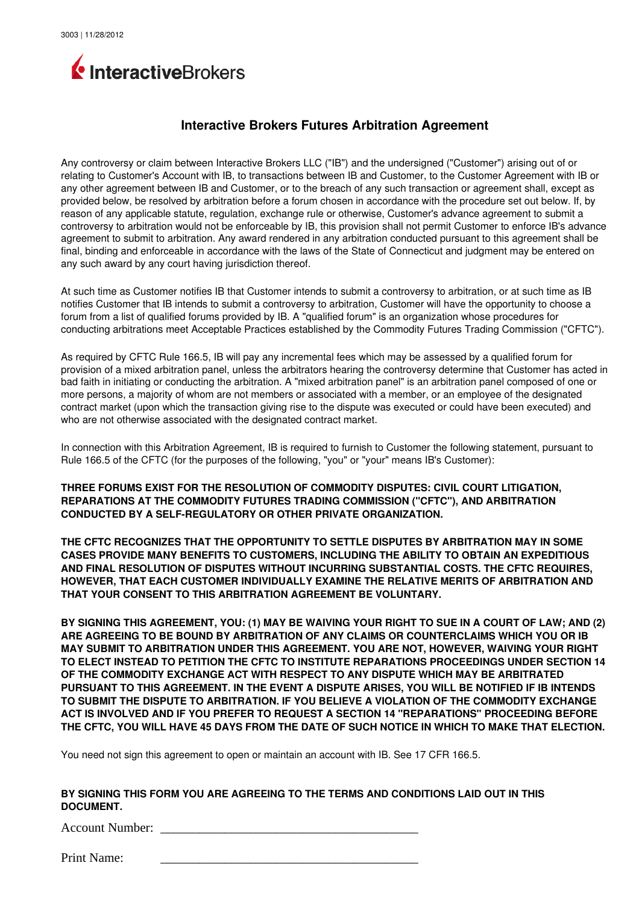

## **Interactive Brokers Futures Arbitration Agreement**

Any controversy or claim between Interactive Brokers LLC ("IB") and the undersigned ("Customer") arising out of or relating to Customer's Account with IB, to transactions between IB and Customer, to the Customer Agreement with IB or any other agreement between IB and Customer, or to the breach of any such transaction or agreement shall, except as provided below, be resolved by arbitration before a forum chosen in accordance with the procedure set out below. If, by reason of any applicable statute, regulation, exchange rule or otherwise, Customer's advance agreement to submit a controversy to arbitration would not be enforceable by IB, this provision shall not permit Customer to enforce IB's advance agreement to submit to arbitration. Any award rendered in any arbitration conducted pursuant to this agreement shall be final, binding and enforceable in accordance with the laws of the State of Connecticut and judgment may be entered on any such award by any court having jurisdiction thereof.

At such time as Customer notifies IB that Customer intends to submit a controversy to arbitration, or at such time as IB notifies Customer that IB intends to submit a controversy to arbitration, Customer will have the opportunity to choose a forum from a list of qualified forums provided by IB. A "qualified forum" is an organization whose procedures for conducting arbitrations meet Acceptable Practices established by the Commodity Futures Trading Commission ("CFTC").

As required by CFTC Rule 166.5, IB will pay any incremental fees which may be assessed by a qualified forum for provision of a mixed arbitration panel, unless the arbitrators hearing the controversy determine that Customer has acted in bad faith in initiating or conducting the arbitration. A "mixed arbitration panel" is an arbitration panel composed of one or more persons, a majority of whom are not members or associated with a member, or an employee of the designated contract market (upon which the transaction giving rise to the dispute was executed or could have been executed) and who are not otherwise associated with the designated contract market.

In connection with this Arbitration Agreement, IB is required to furnish to Customer the following statement, pursuant to Rule 166.5 of the CFTC (for the purposes of the following, "you" or "your" means IB's Customer):

**THREE FORUMS EXIST FOR THE RESOLUTION OF COMMODITY DISPUTES: CIVIL COURT LITIGATION, REPARATIONS AT THE COMMODITY FUTURES TRADING COMMISSION ("CFTC"), AND ARBITRATION CONDUCTED BY A SELF-REGULATORY OR OTHER PRIVATE ORGANIZATION.** 

**THE CFTC RECOGNIZES THAT THE OPPORTUNITY TO SETTLE DISPUTES BY ARBITRATION MAY IN SOME CASES PROVIDE MANY BENEFITS TO CUSTOMERS, INCLUDING THE ABILITY TO OBTAIN AN EXPEDITIOUS AND FINAL RESOLUTION OF DISPUTES WITHOUT INCURRING SUBSTANTIAL COSTS. THE CFTC REQUIRES, HOWEVER, THAT EACH CUSTOMER INDIVIDUALLY EXAMINE THE RELATIVE MERITS OF ARBITRATION AND THAT YOUR CONSENT TO THIS ARBITRATION AGREEMENT BE VOLUNTARY.**

**BY SIGNING THIS AGREEMENT, YOU: (1) MAY BE WAIVING YOUR RIGHT TO SUE IN A COURT OF LAW; AND (2) ARE AGREEING TO BE BOUND BY ARBITRATION OF ANY CLAIMS OR COUNTERCLAIMS WHICH YOU OR IB MAY SUBMIT TO ARBITRATION UNDER THIS AGREEMENT. YOU ARE NOT, HOWEVER, WAIVING YOUR RIGHT TO ELECT INSTEAD TO PETITION THE CFTC TO INSTITUTE REPARATIONS PROCEEDINGS UNDER SECTION 14 OF THE COMMODITY EXCHANGE ACT WITH RESPECT TO ANY DISPUTE WHICH MAY BE ARBITRATED PURSUANT TO THIS AGREEMENT. IN THE EVENT A DISPUTE ARISES, YOU WILL BE NOTIFIED IF IB INTENDS TO SUBMIT THE DISPUTE TO ARBITRATION. IF YOU BELIEVE A VIOLATION OF THE COMMODITY EXCHANGE ACT IS INVOLVED AND IF YOU PREFER TO REQUEST A SECTION 14 "REPARATIONS" PROCEEDING BEFORE THE CFTC, YOU WILL HAVE 45 DAYS FROM THE DATE OF SUCH NOTICE IN WHICH TO MAKE THAT ELECTION.**

You need not sign this agreement to open or maintain an account with IB. See 17 CFR 166.5.

## **BY SIGNING THIS FORM YOU ARE AGREEING TO THE TERMS AND CONDITIONS LAID OUT IN THIS DOCUMENT.**

Account Number:

Print Name: